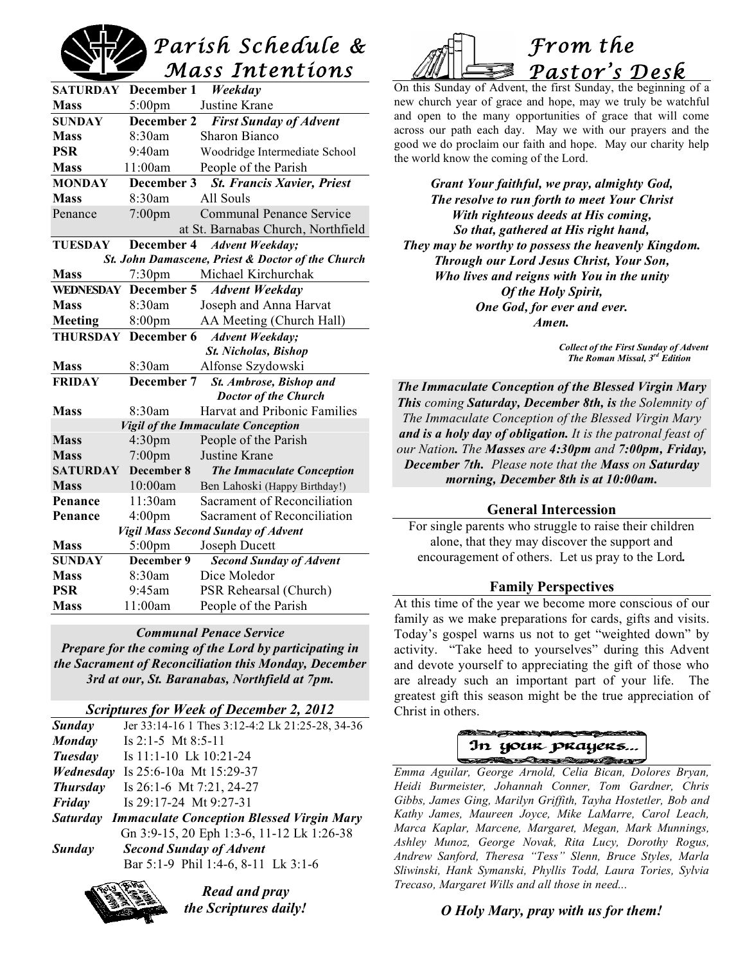# *Parish Schedule & Mass Intentions*

| <b>SATURDAY</b>                                   | December 1                 | Weekday                                        |
|---------------------------------------------------|----------------------------|------------------------------------------------|
| <b>Mass</b>                                       | $5:00 \text{pm}$           | Justine Krane                                  |
| <b>SUNDAY</b>                                     | December 2                 | <b>First Sunday of Advent</b>                  |
| <b>Mass</b>                                       | 8:30am                     | Sharon Bianco                                  |
| <b>PSR</b>                                        | 9:40am                     | Woodridge Intermediate School                  |
| <b>Mass</b>                                       | 11:00am                    | People of the Parish                           |
| <b>MONDAY</b>                                     | December 3                 | <b>St. Francis Xavier, Priest</b>              |
| <b>Mass</b>                                       | 8:30am                     | All Souls                                      |
| Penance                                           | $7:00$ pm                  | <b>Communal Penance Service</b>                |
|                                                   |                            | at St. Barnabas Church, Northfield             |
| <b>TUESDAY</b>                                    |                            | December 4 Advent Weekday;                     |
| St. John Damascene, Priest & Doctor of the Church |                            |                                                |
| <b>Mass</b>                                       | $7:30 \text{pm}$           | Michael Kirchurchak                            |
|                                                   |                            | WEDNESDAY December 5 Advent Weekday            |
| <b>Mass</b>                                       | 8:30am                     | Joseph and Anna Harvat                         |
| Meeting                                           | $8:00 \text{pm}$           | AA Meeting (Church Hall)                       |
|                                                   | <b>THURSDAY December 6</b> | <b>Advent Weekday;</b>                         |
|                                                   |                            | <b>St. Nicholas, Bishop</b>                    |
| <b>Mass</b>                                       | 8:30am                     | Alfonse Szydowski                              |
| <b>FRIDAY</b>                                     | December 7                 | St. Ambrose, Bishop and                        |
|                                                   |                            | <b>Doctor of the Church</b>                    |
| <b>Mass</b>                                       | 8:30am                     | Harvat and Pribonic Families                   |
| <b>Vigil of the Immaculate Conception</b>         |                            |                                                |
| <b>Mass</b>                                       | 4:30 <sub>pm</sub>         | People of the Parish                           |
| <b>Mass</b>                                       | 7:00pm                     | Justine Krane                                  |
| <b>SATURDAY</b>                                   | December 8                 | <b>The Immaculate Conception</b>               |
| <b>Mass</b>                                       | 10:00am                    | Ben Lahoski (Happy Birthday!)                  |
| Penance                                           | 11:30am                    | Sacrament of Reconciliation                    |
| Penance                                           | 4:00 <sub>pm</sub>         | Sacrament of Reconciliation                    |
| Vigil Mass Second Sunday of Advent                |                            |                                                |
| <b>Mass</b>                                       | $5:00$ pm                  | Joseph Ducett                                  |
| <b>SUNDAY</b><br><b>Mass</b>                      | December 9<br>8:30am       | <b>Second Sunday of Advent</b><br>Dice Moledor |
| <b>PSR</b>                                        | 9:45am                     |                                                |
| <b>Mass</b>                                       |                            | PSR Rehearsal (Church)                         |
|                                                   | 11:00am                    | People of the Parish                           |

### *Communal Penace Service*

*Prepare for the coming of the Lord by participating in the Sacrament of Reconciliation this Monday, December 3rd at our, St. Baranabas, Northfield at 7pm.*

### *Scriptures for Week of December 2, 2012*

| Sunday          | Jer 33:14-16 1 Thes 3:12-4:2 Lk 21:25-28, 34-36           |
|-----------------|-----------------------------------------------------------|
| Monday          | Is $2:1-5$ Mt $8:5-11$                                    |
| Tuesday         | Is 11:1-10 Lk 10:21-24                                    |
| Wednesday       | Is 25:6-10a Mt 15:29-37                                   |
| <b>Thursday</b> | Is 26:1-6 Mt 7:21, 24-27                                  |
| Friday          | Is $29:17-24$ Mt $9:27-31$                                |
|                 | <b>Saturday Immaculate Conception Blessed Virgin Mary</b> |
|                 | Gn 3:9-15, 20 Eph 1:3-6, 11-12 Lk 1:26-38                 |
| Sunday          | <b>Second Sunday of Advent</b>                            |
|                 | Bar 5:1-9 Phil 1:4-6, 8-11 Lk 3:1-6                       |
|                 |                                                           |



*Read and pray the Scriptures daily!*



On this Sunday of Advent, the first Sunday, the beginning of a new church year of grace and hope, may we truly be watchful and open to the many opportunities of grace that will come across our path each day. May we with our prayers and the good we do proclaim our faith and hope. May our charity help the world know the coming of the Lord.

*Grant Your faithful, we pray, almighty God, The resolve to run forth to meet Your Christ With righteous deeds at His coming, So that, gathered at His right hand, They may be worthy to possess the heavenly Kingdom. Through our Lord Jesus Christ, Your Son, Who lives and reigns with You in the unity Of the Holy Spirit, One God, for ever and ever. Amen.*

> *Collect of the First Sunday of Advent The Roman Missal, 3rd Edition*

*The Immaculate Conception of the Blessed Virgin Mary This coming Saturday, December 8th, is the Solemnity of The Immaculate Conception of the Blessed Virgin Mary and is a holy day of obligation. It is the patronal feast of our Nation. The Masses are 4:30pm and 7:00pm, Friday, December 7th. Please note that the Mass on Saturday morning, December 8th is at 10:00am.*

### **General Intercession**

For single parents who struggle to raise their children alone, that they may discover the support and encouragement of others. Let us pray to the Lord*.*

### **Family Perspectives**

At this time of the year we become more conscious of our family as we make preparations for cards, gifts and visits. Today's gospel warns us not to get "weighted down" by activity. "Take heed to yourselves" during this Advent and devote yourself to appreciating the gift of those who are already such an important part of your life. The greatest gift this season might be the true appreciation of Christ in others.

# In your prayers.. **SATION CONTRACTORY**

*Emma Aguilar, George Arnold, Celia Bican, Dolores Bryan, Heidi Burmeister, Johannah Conner, Tom Gardner, Chris Gibbs, James Ging, Marilyn Griffith, Tayha Hostetler, Bob and Kathy James, Maureen Joyce, Mike LaMarre, Carol Leach, Marca Kaplar, Marcene, Margaret, Megan, Mark Munnings, Ashley Munoz, George Novak, Rita Lucy, Dorothy Rogus, Andrew Sanford, Theresa "Tess" Slenn, Bruce Styles, Marla Sliwinski, Hank Symanski, Phyllis Todd, Laura Tories, Sylvia Trecaso, Margaret Wills and all those in need...*

### *O Holy Mary, pray with us for them!*